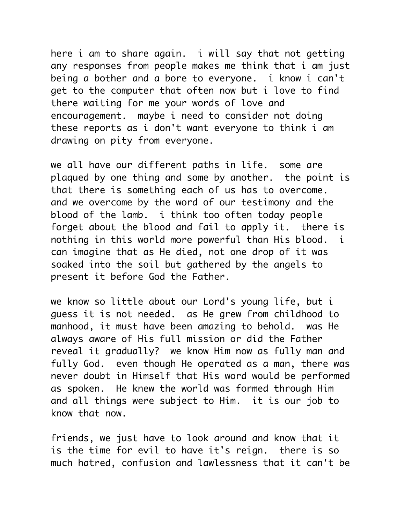here i am to share again. i will say that not getting any responses from people makes me think that i am just being a bother and a bore to everyone. i know i can't get to the computer that often now but i love to find there waiting for me your words of love and encouragement. maybe i need to consider not doing these reports as i don't want everyone to think i am drawing on pity from everyone.

we all have our different paths in life. some are plaqued by one thing and some by another. the point is that there is something each of us has to overcome. and we overcome by the word of our testimony and the blood of the lamb. i think too often today people forget about the blood and fail to apply it. there is nothing in this world more powerful than His blood. i can imagine that as He died, not one drop of it was soaked into the soil but gathered by the angels to present it before God the Father.

we know so little about our Lord's young life, but i guess it is not needed. as He grew from childhood to manhood, it must have been amazing to behold. was He always aware of His full mission or did the Father reveal it gradually? we know Him now as fully man and fully God. even though He operated as a man, there was never doubt in Himself that His word would be performed as spoken. He knew the world was formed through Him and all things were subject to Him. it is our job to know that now.

friends, we just have to look around and know that it is the time for evil to have it's reign. there is so much hatred, confusion and lawlessness that it can't be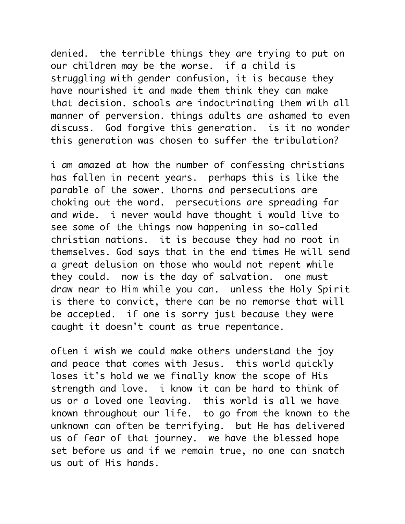denied. the terrible things they are trying to put on our children may be the worse. if a child is struggling with gender confusion, it is because they have nourished it and made them think they can make that decision. schools are indoctrinating them with all manner of perversion. things adults are ashamed to even discuss. God forgive this generation. is it no wonder this generation was chosen to suffer the tribulation?

i am amazed at how the number of confessing christians has fallen in recent years. perhaps this is like the parable of the sower. thorns and persecutions are choking out the word. persecutions are spreading far and wide. i never would have thought i would live to see some of the things now happening in so-called christian nations. it is because they had no root in themselves. God says that in the end times He will send a great delusion on those who would not repent while they could. now is the day of salvation. one must draw near to Him while you can. unless the Holy Spirit is there to convict, there can be no remorse that will be accepted. if one is sorry just because they were caught it doesn't count as true repentance.

often i wish we could make others understand the joy and peace that comes with Jesus. this world quickly loses it's hold we we finally know the scope of His strength and love. i know it can be hard to think of us or a loved one leaving. this world is all we have known throughout our life. to go from the known to the unknown can often be terrifying. but He has delivered us of fear of that journey. we have the blessed hope set before us and if we remain true, no one can snatch us out of His hands.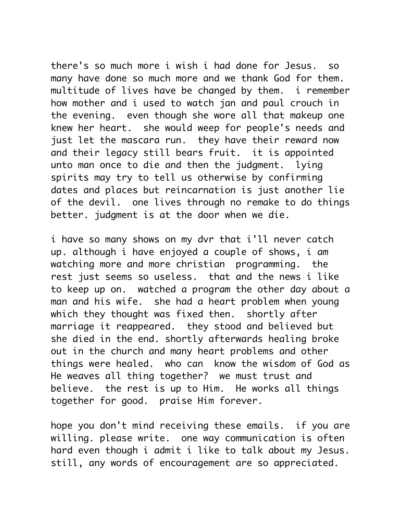there's so much more i wish i had done for Jesus. so many have done so much more and we thank God for them. multitude of lives have be changed by them. i remember how mother and i used to watch jan and paul crouch in the evening. even though she wore all that makeup one knew her heart. she would weep for people's needs and just let the mascara run. they have their reward now and their legacy still bears fruit. it is appointed unto man once to die and then the judgment. lying spirits may try to tell us otherwise by confirming dates and places but reincarnation is just another lie of the devil. one lives through no remake to do things better. judgment is at the door when we die.

i have so many shows on my dvr that i'll never catch up. although i have enjoyed a couple of shows, i am watching more and more christian programming. the rest just seems so useless. that and the news i like to keep up on. watched a program the other day about a man and his wife. she had a heart problem when young which they thought was fixed then. shortly after marriage it reappeared. they stood and believed but she died in the end. shortly afterwards healing broke out in the church and many heart problems and other things were healed. who can know the wisdom of God as He weaves all thing together? we must trust and believe. the rest is up to Him. He works all things together for good. praise Him forever.

hope you don't mind receiving these emails. if you are willing. please write. one way communication is often hard even though i admit i like to talk about my Jesus. still, any words of encouragement are so appreciated.